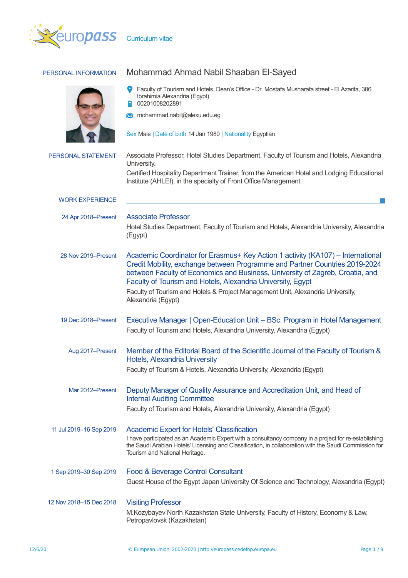

| PERSONAL INFORMATION      | Mohammad Ahmad Nabil Shaaban El-Sayed                                                                                                                                                                                                                                                                          |  |  |  |  |  |
|---------------------------|----------------------------------------------------------------------------------------------------------------------------------------------------------------------------------------------------------------------------------------------------------------------------------------------------------------|--|--|--|--|--|
|                           | Faculty of Tourism and Hotels, Dean's Office - Dr. Mostafa Musharafa street - El Azarita, 386<br>Ibrahimia Alexandria (Egypt)<br>00201008202891                                                                                                                                                                |  |  |  |  |  |
|                           | M mohammad.nabil@alexu.edu.eg                                                                                                                                                                                                                                                                                  |  |  |  |  |  |
|                           | Sex Male   Date of birth 14 Jan 1980   Nationality Egyptian                                                                                                                                                                                                                                                    |  |  |  |  |  |
| <b>PERSONAL STATEMENT</b> | Associate Professor, Hotel Studies Department, Faculty of Tourism and Hotels, Alexandria<br>University.                                                                                                                                                                                                        |  |  |  |  |  |
|                           | Certified Hospitality Department Trainer, from the American Hotel and Lodging Educational<br>Institute (AHLEI), in the specialty of Front Office Management.                                                                                                                                                   |  |  |  |  |  |
| <b>WORK EXPERIENCE</b>    |                                                                                                                                                                                                                                                                                                                |  |  |  |  |  |
| 24 Apr 2018–Present       | <b>Associate Professor</b>                                                                                                                                                                                                                                                                                     |  |  |  |  |  |
|                           | Hotel Studies Department, Faculty of Tourism and Hotels, Alexandria University, Alexandria<br>(Egypt)                                                                                                                                                                                                          |  |  |  |  |  |
| 28 Nov 2019–Present       | Academic Coordinator for Erasmus+ Key Action 1 activity (KA107) - International<br>Credit Mobility, exchange between Programme and Partner Countries 2019-2024<br>between Faculty of Economics and Business, University of Zagreb, Croatia, and<br>Faculty of Tourism and Hotels, Alexandria University, Egypt |  |  |  |  |  |
|                           | Faculty of Tourism and Hotels & Project Management Unit, Alexandria University,<br>Alexandria (Egypt)                                                                                                                                                                                                          |  |  |  |  |  |
| 19 Dec 2018–Present       | Executive Manager   Open-Education Unit - BSc. Program in Hotel Management<br>Faculty of Tourism and Hotels, Alexandria University, Alexandria (Egypt)                                                                                                                                                         |  |  |  |  |  |
| Aug 2017-Present          | Member of the Editorial Board of the Scientific Journal of the Faculty of Tourism &<br>Hotels, Alexandria University                                                                                                                                                                                           |  |  |  |  |  |
|                           | Faculty of Tourism & Hotels, Alexandria University, Alexandria (Egypt)                                                                                                                                                                                                                                         |  |  |  |  |  |
| Mar 2012-Present          | Deputy Manager of Quality Assurance and Accreditation Unit, and Head of<br><b>Internal Auditing Committee</b>                                                                                                                                                                                                  |  |  |  |  |  |
|                           | Faculty of Tourism and Hotels, Alexandria University, Alexandria (Egypt)                                                                                                                                                                                                                                       |  |  |  |  |  |
| 11 Jul 2019-16 Sep 2019   | <b>Academic Expert for Hotels' Classification</b><br>I have participated as an Academic Expert with a consultancy company in a project for re-establishing<br>the Saudi Arabian Hotels' Licensing and Classification, in collaboration with the Saudi Commission for<br>Tourism and National Heritage.         |  |  |  |  |  |
| 1 Sep 2019-30 Sep 2019    | Food & Beverage Control Consultant                                                                                                                                                                                                                                                                             |  |  |  |  |  |
|                           | Guest House of the Egypt Japan University Of Science and Technology, Alexandria (Egypt)                                                                                                                                                                                                                        |  |  |  |  |  |
| 12 Nov 2018-15 Dec 2018   | <b>Visiting Professor</b><br>M. Kozybayev North Kazakhstan State University, Faculty of History, Economy & Law,<br>Petropavlovsk (Kazakhstan)                                                                                                                                                                  |  |  |  |  |  |
|                           |                                                                                                                                                                                                                                                                                                                |  |  |  |  |  |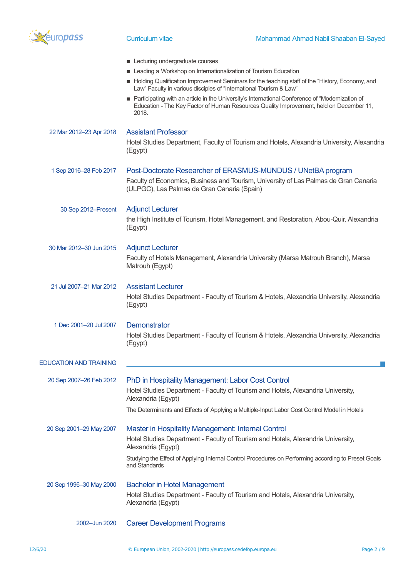

|                               | Lecturing undergraduate courses                                                                                                                                                                     |
|-------------------------------|-----------------------------------------------------------------------------------------------------------------------------------------------------------------------------------------------------|
|                               | Leading a Workshop on Internationalization of Tourism Education<br>Holding Qualification Improvement Seminars for the teaching staff of the "History, Economy, and                                  |
|                               | Law" Faculty in various disciples of "International Tourism & Law"                                                                                                                                  |
|                               | Participating with an article in the University's International Conference of "Modernization of<br>Education - The Key Factor of Human Resources Quality Improvement, held on December 11,<br>2018. |
| 22 Mar 2012-23 Apr 2018       | <b>Assistant Professor</b>                                                                                                                                                                          |
|                               | Hotel Studies Department, Faculty of Tourism and Hotels, Alexandria University, Alexandria<br>(Egypt)                                                                                               |
| 1 Sep 2016-28 Feb 2017        | Post-Doctorate Researcher of ERASMUS-MUNDUS / UNetBA program                                                                                                                                        |
|                               | Faculty of Economics, Business and Tourism, University of Las Palmas de Gran Canaria<br>(ULPGC), Las Palmas de Gran Canaria (Spain)                                                                 |
| 30 Sep 2012-Present           | <b>Adjunct Lecturer</b>                                                                                                                                                                             |
|                               | the High Institute of Tourism, Hotel Management, and Restoration, Abou-Quir, Alexandria<br>(Egypt)                                                                                                  |
| 30 Mar 2012-30 Jun 2015       | <b>Adjunct Lecturer</b>                                                                                                                                                                             |
|                               | Faculty of Hotels Management, Alexandria University (Marsa Matrouh Branch), Marsa<br>Matrouh (Egypt)                                                                                                |
| 21 Jul 2007–21 Mar 2012       | <b>Assistant Lecturer</b>                                                                                                                                                                           |
|                               | Hotel Studies Department - Faculty of Tourism & Hotels, Alexandria University, Alexandria<br>(Egypt)                                                                                                |
| 1 Dec 2001-20 Jul 2007        | <b>Demonstrator</b>                                                                                                                                                                                 |
|                               | Hotel Studies Department - Faculty of Tourism & Hotels, Alexandria University, Alexandria<br>(Egypt)                                                                                                |
| <b>EDUCATION AND TRAINING</b> |                                                                                                                                                                                                     |
| 20 Sep 2007-26 Feb 2012       | PhD in Hospitality Management: Labor Cost Control                                                                                                                                                   |
|                               | Hotel Studies Department - Faculty of Tourism and Hotels, Alexandria University,<br>Alexandria (Egypt)                                                                                              |
|                               | The Determinants and Effects of Applying a Multiple-Input Labor Cost Control Model in Hotels                                                                                                        |
| 20 Sep 2001-29 May 2007       | <b>Master in Hospitality Management: Internal Control</b>                                                                                                                                           |
|                               | Hotel Studies Department - Faculty of Tourism and Hotels, Alexandria University,<br>Alexandria (Egypt)                                                                                              |
|                               | Studying the Effect of Applying Internal Control Procedures on Performing according to Preset Goals<br>and Standards                                                                                |
| 20 Sep 1996-30 May 2000       | <b>Bachelor in Hotel Management</b>                                                                                                                                                                 |
|                               | Hotel Studies Department - Faculty of Tourism and Hotels, Alexandria University,<br>Alexandria (Egypt)                                                                                              |
| 2002-Jun 2020                 | <b>Career Development Programs</b>                                                                                                                                                                  |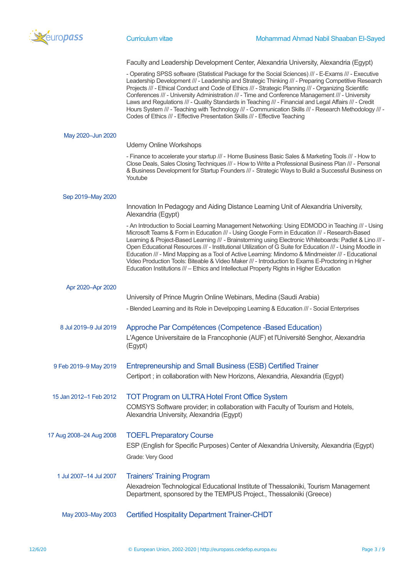

Faculty and Leadership Development Center, Alexandria University, Alexandria (Egypt)

- Operating SPSS software (Statistical Package for the Social Sciences) /// - E-Exams /// - Executive Leadership Development /// - Leadership and Strategic Thinking /// - Preparing Competitive Research Projects /// - Ethical Conduct and Code of Ethics /// - Strategic Planning /// - Organizing Scientific Conferences /// - University Administration /// - Time and Conference Management /// - University Laws and Regulations /// - Quality Standards in Teaching /// - Financial and Legal Affairs /// - Credit Hours System /// - Teaching with Technology /// - Communication Skills /// - Research Methodology /// - Codes of Ethics /// - Effective Presentation Skills /// - Effective Teaching

| May 2020-Jun 2020       |                                                                                                                                                                                                                                                                                                                                                                                                                                                                                                                                                                                                                                                                                                                                  |
|-------------------------|----------------------------------------------------------------------------------------------------------------------------------------------------------------------------------------------------------------------------------------------------------------------------------------------------------------------------------------------------------------------------------------------------------------------------------------------------------------------------------------------------------------------------------------------------------------------------------------------------------------------------------------------------------------------------------------------------------------------------------|
|                         | <b>Udemy Online Workshops</b>                                                                                                                                                                                                                                                                                                                                                                                                                                                                                                                                                                                                                                                                                                    |
|                         | - Finance to accelerate your startup /// - Home Business Basic Sales & Marketing Tools /// - How to<br>Close Deals, Sales Closing Techniques /// - How to Write a Professional Business Plan /// - Personal<br>& Business Development for Startup Founders /// - Strategic Ways to Build a Successful Business on<br>Youtube                                                                                                                                                                                                                                                                                                                                                                                                     |
| Sep 2019-May 2020       |                                                                                                                                                                                                                                                                                                                                                                                                                                                                                                                                                                                                                                                                                                                                  |
|                         | Innovation In Pedagogy and Aiding Distance Learning Unit of Alexandria University,<br>Alexandria (Egypt)                                                                                                                                                                                                                                                                                                                                                                                                                                                                                                                                                                                                                         |
|                         | - An Introduction to Social Learning Management Networking: Using EDMODO in Teaching /// - Using<br>Microsoft Teams & Form in Education /// - Using Google Form in Education /// - Research-Based<br>Learning & Project-Based Learning /// - Brainstorming using Electronic Whiteboards: Padlet & Lino /// -<br>Open Educational Resources /// - Institutional Utilization of G Suite for Education /// - Using Moodle in<br>Education /// - Mind Mapping as a Tool of Active Learning: Mindomo & Mindmeister /// - Educational<br>Video Production Tools: Biteable & Video Maker /// - Introduction to Exams E-Proctoring in Higher<br>Education Institutions /// - Ethics and Intellectual Property Rights in Higher Education |
| Apr 2020-Apr 2020       |                                                                                                                                                                                                                                                                                                                                                                                                                                                                                                                                                                                                                                                                                                                                  |
|                         | University of Prince Mugrin Online Webinars, Medina (Saudi Arabia)                                                                                                                                                                                                                                                                                                                                                                                                                                                                                                                                                                                                                                                               |
|                         | - Blended Learning and its Role in Develpoping Learning & Education /// - Social Enterprises                                                                                                                                                                                                                                                                                                                                                                                                                                                                                                                                                                                                                                     |
| 8 Jul 2019-9 Jul 2019   | Approche Par Compétences (Competence - Based Education)                                                                                                                                                                                                                                                                                                                                                                                                                                                                                                                                                                                                                                                                          |
|                         | L'Agence Universitaire de la Francophonie (AUF) et l'Université Senghor, Alexandria<br>(Egypt)                                                                                                                                                                                                                                                                                                                                                                                                                                                                                                                                                                                                                                   |
| 9 Feb 2019-9 May 2019   | Entrepreneurship and Small Business (ESB) Certified Trainer                                                                                                                                                                                                                                                                                                                                                                                                                                                                                                                                                                                                                                                                      |
|                         | Certiport; in collaboration with New Horizons, Alexandria, Alexandria (Egypt)                                                                                                                                                                                                                                                                                                                                                                                                                                                                                                                                                                                                                                                    |
| 15 Jan 2012-1 Feb 2012  | <b>TOT Program on ULTRA Hotel Front Office System</b>                                                                                                                                                                                                                                                                                                                                                                                                                                                                                                                                                                                                                                                                            |
|                         | COMSYS Software provider; in collaboration with Faculty of Tourism and Hotels,<br>Alexandria University, Alexandria (Egypt)                                                                                                                                                                                                                                                                                                                                                                                                                                                                                                                                                                                                      |
| 17 Aug 2008-24 Aug 2008 | <b>TOEFL Preparatory Course</b>                                                                                                                                                                                                                                                                                                                                                                                                                                                                                                                                                                                                                                                                                                  |
|                         | ESP (English for Specific Purposes) Center of Alexandria University, Alexandria (Egypt)                                                                                                                                                                                                                                                                                                                                                                                                                                                                                                                                                                                                                                          |
|                         | Grade: Very Good                                                                                                                                                                                                                                                                                                                                                                                                                                                                                                                                                                                                                                                                                                                 |
| 1 Jul 2007-14 Jul 2007  | <b>Trainers' Training Program</b>                                                                                                                                                                                                                                                                                                                                                                                                                                                                                                                                                                                                                                                                                                |
|                         | Alexadreion Technological Educational Institute of Thessaloniki, Tourism Management<br>Department, sponsored by the TEMPUS Project., Thessaloniki (Greece)                                                                                                                                                                                                                                                                                                                                                                                                                                                                                                                                                                       |

May 2003–May 2003 Certified Hospitality Department Trainer-CHDT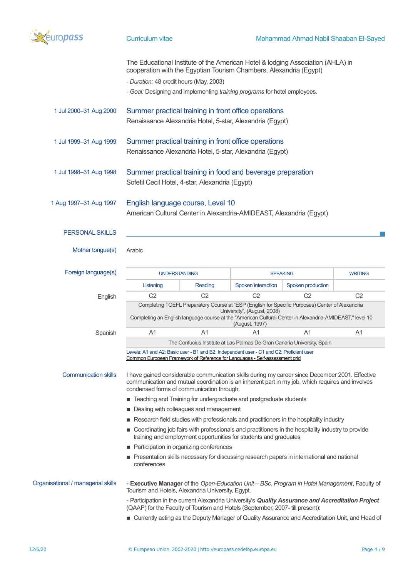

|                                    | The Educational Institute of the American Hotel & lodging Association (AHLA) in<br>cooperation with the Egyptian Tourism Chambers, Alexandria (Egypt)                                                                                                         |                                         |                    |                   |                |  |  |  |
|------------------------------------|---------------------------------------------------------------------------------------------------------------------------------------------------------------------------------------------------------------------------------------------------------------|-----------------------------------------|--------------------|-------------------|----------------|--|--|--|
|                                    | - Duration: 48 credit hours (May, 2003)                                                                                                                                                                                                                       |                                         |                    |                   |                |  |  |  |
|                                    | - Goal: Designing and implementing training programs for hotel employees.                                                                                                                                                                                     |                                         |                    |                   |                |  |  |  |
| 1 Jul 2000-31 Aug 2000             | Summer practical training in front office operations                                                                                                                                                                                                          |                                         |                    |                   |                |  |  |  |
|                                    | Renaissance Alexandria Hotel, 5-star, Alexandria (Egypt)                                                                                                                                                                                                      |                                         |                    |                   |                |  |  |  |
| 1 Jul 1999-31 Aug 1999             | Summer practical training in front office operations<br>Renaissance Alexandria Hotel, 5-star, Alexandria (Egypt)                                                                                                                                              |                                         |                    |                   |                |  |  |  |
| 1 Jul 1998-31 Aug 1998             | Summer practical training in food and beverage preparation<br>Sofetil Cecil Hotel, 4-star, Alexandria (Egypt)                                                                                                                                                 |                                         |                    |                   |                |  |  |  |
| 1 Aug 1997-31 Aug 1997             | English language course, Level 10<br>American Cultural Center in Alexandria-AMIDEAST, Alexandria (Egypt)                                                                                                                                                      |                                         |                    |                   |                |  |  |  |
| <b>PERSONAL SKILLS</b>             |                                                                                                                                                                                                                                                               |                                         |                    |                   |                |  |  |  |
| Mother tongue(s)                   | Arabic                                                                                                                                                                                                                                                        |                                         |                    |                   |                |  |  |  |
| Foreign language(s)                |                                                                                                                                                                                                                                                               | <b>UNDERSTANDING</b><br><b>SPEAKING</b> |                    |                   | <b>WRITING</b> |  |  |  |
|                                    | Listening                                                                                                                                                                                                                                                     | Reading                                 | Spoken interaction | Spoken production |                |  |  |  |
| English                            | C <sub>2</sub>                                                                                                                                                                                                                                                | C <sub>2</sub>                          | C <sub>2</sub>     | C <sub>2</sub>    | C <sub>2</sub> |  |  |  |
|                                    | Completing TOEFL Preparatory Course at "ESP (English for Specific Purposes) Center of Alexandria<br>University", (August, 2008)<br>Completing an English language course at the "American Cultural Center in Alexandria-AMIDEAST," level 10<br>(August, 1997) |                                         |                    |                   |                |  |  |  |
| Spanish                            | A <sub>1</sub>                                                                                                                                                                                                                                                | A1                                      | A1                 | A1                | A1             |  |  |  |
|                                    | The Confucius Institute at Las Palmas De Gran Canaria University, Spain                                                                                                                                                                                       |                                         |                    |                   |                |  |  |  |
|                                    | Levels: A1 and A2: Basic user - B1 and B2: Independent user - C1 and C2: Proficient user<br>Common European Framework of Reference for Languages - Self-assessment grid                                                                                       |                                         |                    |                   |                |  |  |  |
| <b>Communication skills</b>        | I have gained considerable communication skills during my career since December 2001. Effective<br>communication and mutual coordination is an inherent part in my job, which requires and involves<br>condensed forms of communication through:              |                                         |                    |                   |                |  |  |  |
|                                    | ■ Teaching and Training for undergraduate and postgraduate students                                                                                                                                                                                           |                                         |                    |                   |                |  |  |  |
|                                    | Dealing with colleagues and management                                                                                                                                                                                                                        |                                         |                    |                   |                |  |  |  |
|                                    | Research field studies with professionals and practitioners in the hospitality industry                                                                                                                                                                       |                                         |                    |                   |                |  |  |  |
|                                    | Coordinating job fairs with professionals and practitioners in the hospitality industry to provide<br>training and employment opportunities for students and graduates                                                                                        |                                         |                    |                   |                |  |  |  |
|                                    | Participation in organizing conferences                                                                                                                                                                                                                       |                                         |                    |                   |                |  |  |  |
|                                    | Presentation skills necessary for discussing research papers in international and national<br>conferences                                                                                                                                                     |                                         |                    |                   |                |  |  |  |
| Organisational / managerial skills | - Executive Manager of the Open-Education Unit - BSc. Program in Hotel Management, Faculty of<br>Tourism and Hotels, Alexandria University, Egypt.                                                                                                            |                                         |                    |                   |                |  |  |  |
|                                    | - Participation in the current Alexandria University's Quality Assurance and Accreditation Project<br>(QAAP) for the Faculty of Tourism and Hotels (September, 2007- till present):                                                                           |                                         |                    |                   |                |  |  |  |
|                                    | ■ Currently acting as the Deputy Manager of Quality Assurance and Accreditation Unit, and Head of                                                                                                                                                             |                                         |                    |                   |                |  |  |  |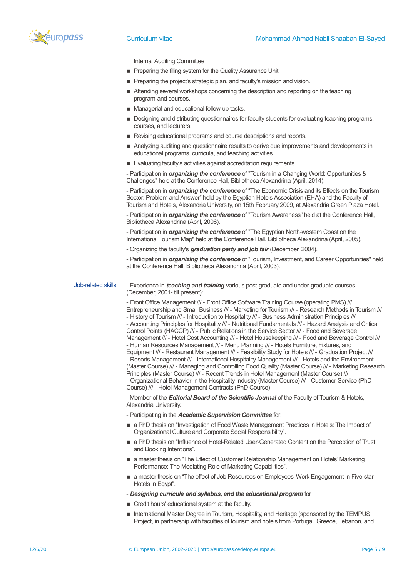

Internal Auditing Committee

- **Preparing the filing system for the Quality Assurance Unit.**
- **EXECTE:** Preparing the project's strategic plan, and faculty's mission and vision.
- **EXTENDING** Attending several workshops concerning the description and reporting on the teaching program and courses.
- Managerial and educational follow-up tasks.
- **Designing and distributing questionnaires for faculty students for evaluating teaching programs,** courses, and lecturers.
- Revising educational programs and course descriptions and reports.
- Analyzing auditing and questionnaire results to derive due improvements and developments in educational programs, curricula, and teaching activities.
- **Exaluating faculty's activities against accreditation requirements.**

- Participation in *organizing the conference* of "Tourism in a Changing World: Opportunities & Challenges" held at the Conference Hall, Bibliotheca Alexandrina (April, 2014).

- Participation in *organizing the conference* of "The Economic Crisis and its Effects on the Tourism Sector: Problem and Answer" held by the Egyptian Hotels Association (EHA) and the Faculty of Tourism and Hotels, Alexandria University, on 15th February 2009, at Alexandria Green Plaza Hotel.

- Participation in *organizing the conference* of "Tourism Awareness" held at the Conference Hall, Bibliotheca Alexandrina (April, 2006).

- Participation in *organizing the conference* of "The Egyptian North-western Coast on the International Tourism Map" held at the Conference Hall, Bibliotheca Alexandrina (April, 2005).

- Organizing the faculty's *graduation party and job fair* (December, 2004).

- Participation in *organizing the conference* of "Tourism, Investment, and Career Opportunities" held at the Conference Hall, Bibliotheca Alexandrina (April, 2003).

Job-related skills - Experience in *teaching and training* various post-graduate and under-graduate courses (December, 2001- till present):

> - Front Office Management /// - Front Office Software Training Course (operating PMS) /// Entrepreneurship and Small Business /// - Marketing for Tourism /// - Research Methods in Tourism /// - History of Tourism /// - Introduction to Hospitality /// - Business Administration Principles /// - Accounting Principles for Hospitality /// - Nutritional Fundamentals /// - Hazard Analysis and Critical Control Points (HACCP) /// - Public Relations in the Service Sector /// - Food and Beverage Management /// - Hotel Cost Accounting /// - Hotel Housekeeping /// - Food and Beverage Control /// - Human Resources Management /// - Menu Planning /// - Hotels Furniture, Fixtures, and Equipment /// - Restaurant Management /// - Feasibility Study for Hotels /// - Graduation Project /// - Resorts Management /// - International Hospitality Management /// - Hotels and the Environment (Master Course) /// - Managing and Controlling Food Quality (Master Course) /// - Marketing Research Principles (Master Course) /// - Recent Trends in Hotel Management (Master Course) /// - Organizational Behavior in the Hospitality Industry (Master Course) /// - Customer Service (PhD Course) /// - Hotel Management Contracts (PhD Course)

- Member of the *Editorial Board of the Scientific Journal* of the Faculty of Tourism & Hotels, Alexandria University.

- Participating in the *Academic Supervision Committee* for:

- **a** PhD thesis on "Investigation of Food Waste Management Practices in Hotels: The Impact of Organizational Culture and Corporate Social Responsibility".
- $\blacksquare$  a PhD thesis on "Influence of Hotel-Related User-Generated Content on the Perception of Trust and Booking Intentions".
- a master thesis on "The Effect of Customer Relationship Management on Hotels' Marketing Performance: The Mediating Role of Marketing Capabilities".
- a master thesis on "The effect of Job Resources on Employees' Work Engagement in Five-star Hotels in Egypt".

- *Designing curricula and syllabus, and the educational program* for

- Credit hours' educational system at the faculty.
- **International Master Degree in Tourism, Hospitality, and Heritage (sponsored by the TEMPUS** Project, in partnership with faculties of tourism and hotels from Portugal, Greece, Lebanon, and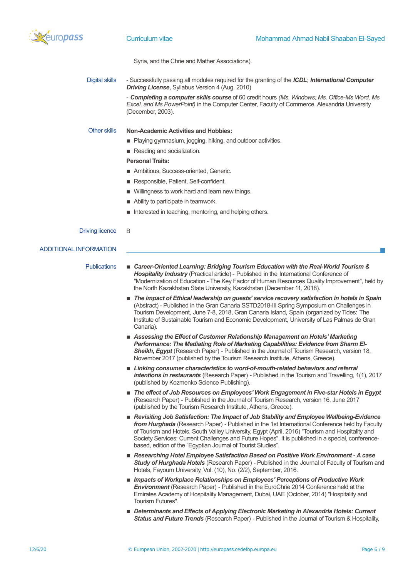

Syria, and the Chrie and Mather Associations).

Digital skills - Successfully passing all modules required for the granting of the *ICDL*; *International Computer Driving License*, Syllabus Version 4 (Aug. 2010)

> - *Completing a computer skills course* of 60 credit hours *(Ms. Windows; Ms. Office-Ms Word, Ms Excel, and Ms PowerPoint)* in the Computer Center, Faculty of Commerce, Alexandria University (December, 2003).

## Other skills **Non-Academic Activities and Hobbies:**

- Playing gymnasium, jogging, hiking, and outdoor activities.
- Reading and socialization.

## **Personal Traits:**

- **E** Ambitious, Success-oriented, Generic.
- **Responsible, Patient, Self-confident.**
- Willingness to work hard and learn new things.
- Ability to participate in teamwork.
- Interested in teaching, mentoring, and helping others.

## Driving licence B

## ADDITIONAL INFORMATION

- Publications  **Career-Oriented Learning: Bridging Tourism Education with the Real-World Tourism &** *Hospitality Industry* (Practical article) - Published in the International Conference of "Modernization of Education - The Key Factor of Human Resources Quality Improvement", held by the North Kazakhstan State University, Kazakhstan (December 11, 2018).
	- **The impact of Ethical leadership on guests' service recovery satisfaction in hotels in Spain** (Abstract) - Published in the Gran Canaria SSTD2018-III Spring Symposium on Challenges in Tourism Development, June 7-8, 2018, Gran Canaria Island, Spain (organized by Tides: The Institute of Sustainable Tourism and Economic Development, University of Las Palmas de Gran Canaria).
	- Assessing the Effect of Customer Relationship Management on Hotels' Marketing *Performance: The Mediating Role of Marketing Capabilities: Evidence from Sharm El-Sheikh, Egypt* (Research Paper) - Published in the Journal of Tourism Research, version 18, November 2017 (published by the Tourism Research Institute, Athens, Greece).
	- Linking consumer characteristics to word-of-mouth-related behaviors and referral *intentions in restaurants* (Research Paper) - Published in the Tourism and Travelling, 1(1), 2017 (published by Kozmenko Science Publishing).
	- The effect of Job Resources on Employees' Work Engagement in Five-star Hotels in Egypt (Research Paper) - Published in the Journal of Tourism Research, version 16, June 2017 (published by the Tourism Research Institute, Athens, Greece).
	- *Revisiting Job Satisfaction: The Impact of Job Stability and Employee Wellbeing-Evidence from Hurghada* (Research Paper) - Published in the 1st International Conference held by Faculty of Tourism and Hotels, South Valley University, Egypt (April, 2016) "Tourism and Hospitality and Society Services: Current Challenges and Future Hopes". It is published in a special, conferencebased, edition of the "Egyptian Journal of Tourist Studies".
	- Researching Hotel Employee Satisfaction Based on Positive Work Environment A case **Study of Hurghada Hotels** (Research Paper) - Published in the Journal of Faculty of Tourism and Hotels, Fayoum University, Vol. (10), No. (2/2), September, 2016.
	- *Impacts of Workplace Relationships on Employees' Perceptions of Productive Work Environment* (Research Paper) - Published in the EuroChrie 2014 Conference held at the Emirates Academy of Hospitality Management, Dubai, UAE (October, 2014) "Hospitality and Tourism Futures".
	- Determinants and Effects of Applying Electronic Marketing in Alexandria Hotels: Current *Status and Future Trends* (Research Paper) - Published in the Journal of Tourism & Hospitality,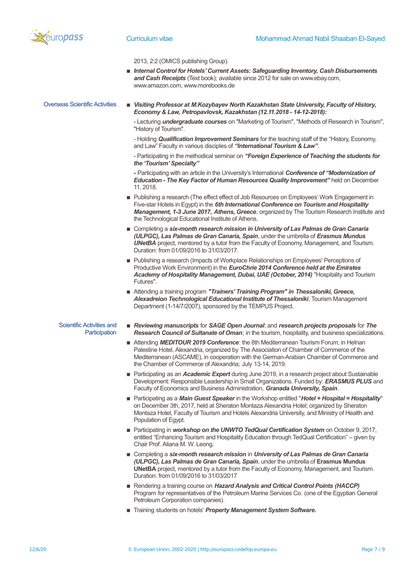

2013, 2:2 (OMICS publishing Group).

■ *Internal Control for Hotels' Current Assets: Safeguarding Inventory, Cash Disbursements and Cash Receipts* (Text book); available since 2012 for sale on www.ebay.com, www.amazon.com, www.morebooks.de

Overseas Scientific Activities ▪ *Visiting Professor at M.Kozybayev North Kazakhstan State University, Faculty of History, Economy & Law, Petropavlovsk, Kazakhstan (12.11.2018 - 14-12-2018):*

> - Lecturing *undergraduate courses* on "Marketing of Tourism", "Methods of Research in Tourism", "History of Tourism".

- Holding *Qualification Improvement Seminars* for the teaching staff of the "History, Economy, and Law" Faculty in various disciples of *"International Tourism & Law"*.

- Participating in the methodical seminar on *"Foreign Experience of Teaching the students for the 'Tourism' Specialty"*

*-* Participating with an article in the University's International *Conference of "Modernization of Education - The Key Factor of Human Resources Quality Improvement"* held on December 11, 2018.

- **DED Publishing a research (The effect effect of Job Resources on Employees' Work Engagement in** Five-star Hotels in Egypt) in the *6th International Conference on Tourism and Hospitality Management, 1-3 June 2017, Athens, Greece*, organized by The Tourism Research Institute and the Technological Educational Institute of Athens.
- Completing a *six-month research mission in University of Las Palmas de Gran Canaria (ULPGC), Las Palmas de Gran Canaria, Spain*, under the umbrella of *Erasmus Mundus UNetBA* project, mentored by a tutor from the Faculty of Economy, Management, and Tourism. Duration: from 01/09/2016 to 31/03/2017.
- Publishing a research (Impacts of Workplace Relationships on Employees' Perceptions of Productive Work Environment) in the *EuroChrie 2014 Conference held at the Emirates Academy of Hospitality Management, Dubai, UAE (October, 2014)* "Hospitality and Tourism Futures".
- Attending a training program "Trainers' Training Program" in Thessaloniki, Greece, *Alexadreion Technological Educational Institute of Thessaloniki*, Tourism Management Department (1-14/7/2007), sponsored by the TEMPUS Project.

## Scientific Activities and **Participation**

- *Reviewing manuscripts* for *SAGE Open Journal*; and *research projects proposals* for *The Research Council of Sultanate of Oman*; in the tourism, hospitality, and business specializations.
- **E** Attending *MEDITOUR 2019 Conference*: the 8th Mediterranean Tourism Forum; in Helnan Palestine Hotel, Alexandria, organized by The Association of Chamber of Commerce of the Mediterranean (ASCAME), in cooperation with the German-Arabian Chamber of Commerce and the Chamber of Commerce of Alexandria; July 13-14, 2019.
- Participating as an *Academic Expert* during June 2019, in a research project about Sustainable Development: Responsible Leadership in Small Organizations. Funded by: *ERASMUS PLUS* and Faculty of Economics and Business Administration, *Granada University, Spain*.
- Participating as a *Main Guest Speaker* in the Workshop entitled "*Hotel + Hospital = Hospitality*" on December 3th, 2017, held at Sheraton Montaza Alexandria Hotel; organized by Sheraton Montaza Hotel, Faculty of Tourism and Hotels Alexandria University, and Ministry of Health and Population of Egypt.
- Participating in *workshop on the UNWTO TedQual Certification System* on October 9, 2017, entitled "Enhancing Tourism and Hospitality Education through TedQual Certification" – given by Chair Prof. Aliana M. W. Leong.
- Completing a *six-month research mission* in *University of Las Palmas de Gran Canaria (ULPGC), Las Palmas de Gran Canaria, Spain*, under the umbrella of **Erasmus Mundus UNetBA** project, mentored by a tutor from the Faculty of Economy, Management, and Tourism. Duration: from 01/09/2016 to 31/03/2017
- Rendering a training course on *Hazard Analysis and Critical Control Points (HACCP)* Program for representatives of the Petroleum Marine Services Co. (one of the Egyptian General Petroleum Corporation companies).
- Training students on hotels' *Property Management System Software.*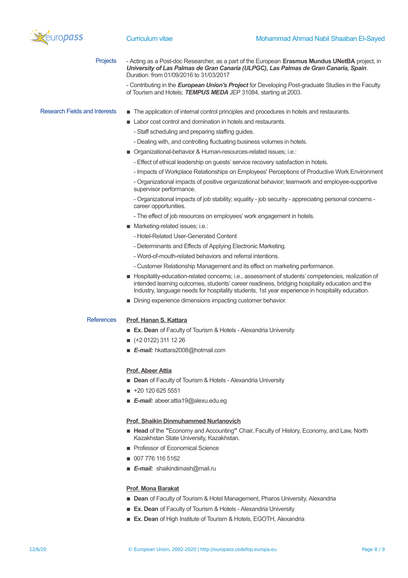

Projects - Acting as a Post-doc Researcher, as a part of the European **Erasmus Mundus UNetBA** project, in *University of Las Palmas de Gran Canaria (ULPGC), Las Palmas de Gran Canaria, Spain*. Duration: from 01/09/2016 to 31/03/2017

> - Contributing in the *European Union's Project* for Developing Post-graduate Studies in the Faculty of Tourism and Hotels; *TEMPUS MEDA* JEP 31084, starting at 2003.

## Research Fields and Interests  $\blacksquare$  The application of internal control principles and procedures in hotels and restaurants.

- Labor cost control and domination in hotels and restaurants.
	- Staff scheduling and preparing staffing guides.
	- Dealing with, and controlling fluctuating business volumes in hotels.
- Organizational-behavior & Human-resources-related issues; i.e.:
	- Effect of ethical leadership on guests' service recovery satisfaction in hotels.
	- Impacts of Workplace Relationships on Employees' Perceptions of Productive Work Environment

- Organizational impacts of positive organizational behavior; teamwork and employee-supportive supervisor performance.

- Organizational impacts of job stability; equality - job security - appreciating personal concerns career opportunities.

- The effect of job resources on employees' work engagement in hotels.

- Marketing-related issues; i.e.:
	- Hotel-Related User-Generated Content
	- Determinants and Effects of Applying Electronic Marketing.
	- Word-of-mouth-related behaviors and referral intentions.
	- Customer Relationship Management and its effect on marketing performance.
- **E** Hospitality-education-related concerns; i.e., assessment of students' competencies, realization of intended learning outcomes, students' career readiness, bridging hospitality education and the Industry, language needs for hospitality students, 1st year experience in hospitality education.
- Dining experience dimensions impacting customer behavior.

# References **Prof. Hanan S. Kattara**

- **Ex. Dean** of Faculty of Tourism & Hotels Alexandria University
- $\bullet$  (+2 0122) 311 12 26
- *E-mail:* hkattara2008@hotmail.com

### **Prof. Abeer Attia**

- **E** Dean of Faculty of Tourism & Hotels Alexandria University
- $\blacksquare$  +20 120 625 5551
- **E-mail:** abeer.attia19@alexu.edu.eg

## **Prof. Shaikin Dinmuhammed Nurlanovich**

- Head of the "Economy and Accounting" Chair, Faculty of History, Economy, and Law, North Kazakhstan State University, Kazakhstan.
- **Professor of Economical Science**
- **007 776 116 5162**
- **E-mail:** shaikindimash@mail.ru

### **Prof. Mona Barakat**

- **Dean** of Faculty of Tourism & Hotel Management, Pharos University, Alexandria
- **Ex. Dean** of Faculty of Tourism & Hotels Alexandria University
- **Ex. Dean** of High Institute of Tourism & Hotels, EGOTH, Alexandria